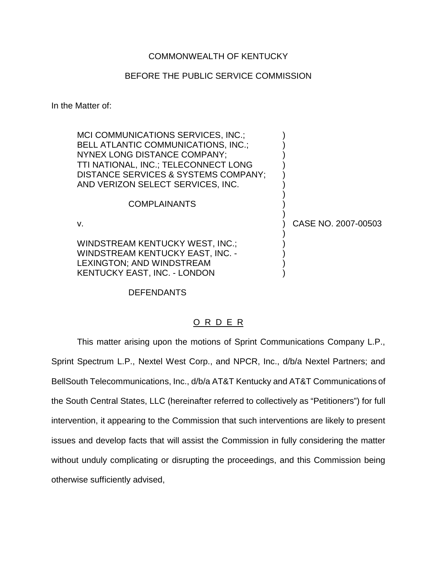# COMMONWEALTH OF KENTUCKY

# BEFORE THE PUBLIC SERVICE COMMISSION

In the Matter of:

MCI COMMUNICATIONS SERVICES, INC.; BELL ATLANTIC COMMUNICATIONS, INC.; NYNEX LONG DISTANCE COMPANY; ) TTI NATIONAL, INC.; TELECONNECT LONG ) DISTANCE SERVICES & SYSTEMS COMPANY; AND VERIZON SELECT SERVICES, INC.

### **COMPLAINANTS**

WINDSTREAM KENTUCKY WEST, INC.; WINDSTREAM KENTUCKY EAST, INC. -LEXINGTON; AND WINDSTREAM KENTUCKY EAST, INC. - LONDON )

v. ) CASE NO. 2007-00503

)

)

)

### DEFENDANTS

# O R D E R

This matter arising upon the motions of Sprint Communications Company L.P., Sprint Spectrum L.P., Nextel West Corp., and NPCR, Inc., d/b/a Nextel Partners; and BellSouth Telecommunications, Inc., d/b/a AT&T Kentucky and AT&T Communications of the South Central States, LLC (hereinafter referred to collectively as "Petitioners") for full intervention, it appearing to the Commission that such interventions are likely to present issues and develop facts that will assist the Commission in fully considering the matter without unduly complicating or disrupting the proceedings, and this Commission being otherwise sufficiently advised,